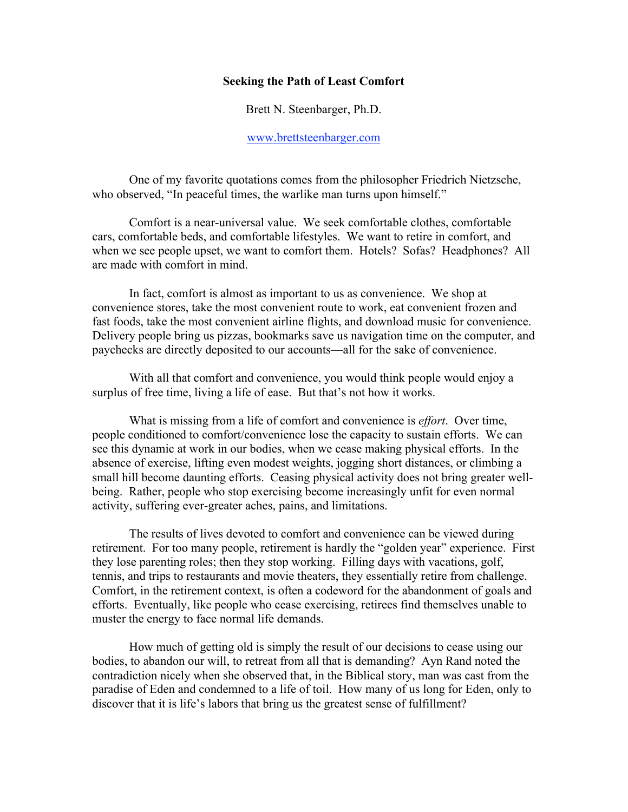## Seeking the Path of Least Comfort

Brett N. Steenbarger, Ph.D.

## www.brettsteenbarger.com

One of my favorite quotations comes from the philosopher Friedrich Nietzsche, who observed, "In peaceful times, the warlike man turns upon himself."

Comfort is a near-universal value. We seek comfortable clothes, comfortable cars, comfortable beds, and comfortable lifestyles. We want to retire in comfort, and when we see people upset, we want to comfort them. Hotels? Sofas? Headphones? All are made with comfort in mind.

In fact, comfort is almost as important to us as convenience. We shop at convenience stores, take the most convenient route to work, eat convenient frozen and fast foods, take the most convenient airline flights, and download music for convenience. Delivery people bring us pizzas, bookmarks save us navigation time on the computer, and paychecks are directly deposited to our accounts—all for the sake of convenience.

With all that comfort and convenience, you would think people would enjoy a surplus of free time, living a life of ease. But that's not how it works.

What is missing from a life of comfort and convenience is *effort*. Over time, people conditioned to comfort/convenience lose the capacity to sustain efforts. We can see this dynamic at work in our bodies, when we cease making physical efforts. In the absence of exercise, lifting even modest weights, jogging short distances, or climbing a small hill become daunting efforts. Ceasing physical activity does not bring greater wellbeing. Rather, people who stop exercising become increasingly unfit for even normal activity, suffering ever-greater aches, pains, and limitations.

The results of lives devoted to comfort and convenience can be viewed during retirement. For too many people, retirement is hardly the "golden year" experience. First they lose parenting roles; then they stop working. Filling days with vacations, golf, tennis, and trips to restaurants and movie theaters, they essentially retire from challenge. Comfort, in the retirement context, is often a codeword for the abandonment of goals and efforts. Eventually, like people who cease exercising, retirees find themselves unable to muster the energy to face normal life demands.

How much of getting old is simply the result of our decisions to cease using our bodies, to abandon our will, to retreat from all that is demanding? Ayn Rand noted the contradiction nicely when she observed that, in the Biblical story, man was cast from the paradise of Eden and condemned to a life of toil. How many of us long for Eden, only to discover that it is life's labors that bring us the greatest sense of fulfillment?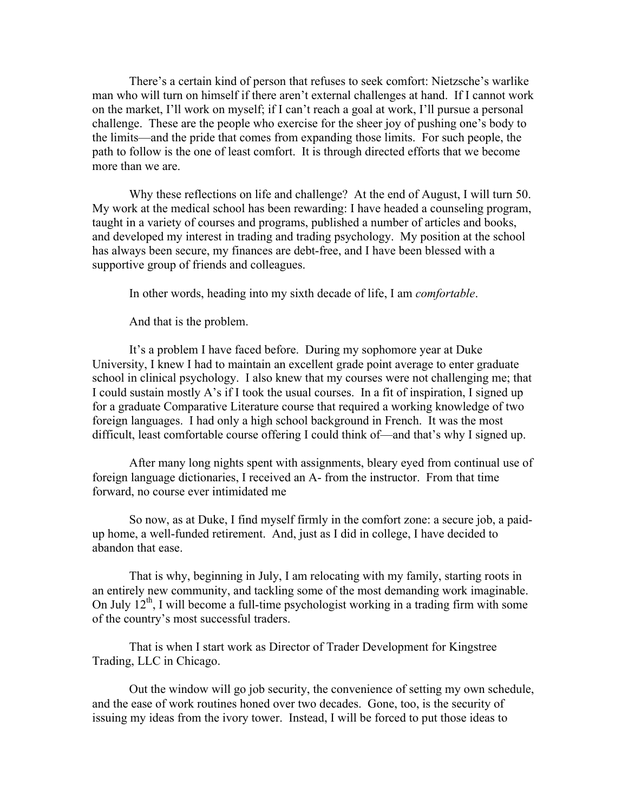There's a certain kind of person that refuses to seek comfort: Nietzsche's warlike man who will turn on himself if there aren't external challenges at hand. If I cannot work on the market, I'll work on myself; if I can't reach a goal at work, I'll pursue a personal challenge. These are the people who exercise for the sheer joy of pushing one's body to the limits—and the pride that comes from expanding those limits. For such people, the path to follow is the one of least comfort. It is through directed efforts that we become more than we are

Why these reflections on life and challenge? At the end of August, I will turn 50. My work at the medical school has been rewarding: I have headed a counseling program, taught in a variety of courses and programs, published a number of articles and books, and developed my interest in trading and trading psychology. My position at the school has always been secure, my finances are debt-free, and I have been blessed with a supportive group of friends and colleagues.

In other words, heading into my sixth decade of life, I am *comfortable*.

And that is the problem.

It's a problem I have faced before. During my sophomore year at Duke University, I knew I had to maintain an excellent grade point average to enter graduate school in clinical psychology. I also knew that my courses were not challenging me; that I could sustain mostly A's if I took the usual courses. In a fit of inspiration, I signed up for a graduate Comparative Literature course that required a working knowledge of two foreign languages. I had only a high school background in French. It was the most difficult, least comfortable course offering I could think of—and that's why I signed up.

After many long nights spent with assignments, bleary eyed from continual use of foreign language dictionaries, I received an A- from the instructor. From that time forward, no course ever intimidated me

So now, as at Duke, I find myself firmly in the comfort zone: a secure job, a paidup home, a well-funded retirement. And, just as I did in college, I have decided to abandon that ease.

That is why, beginning in July, I am relocating with my family, starting roots in an entirely new community, and tackling some of the most demanding work imaginable. On July  $12<sup>th</sup>$ , I will become a full-time psychologist working in a trading firm with some of the country's most successful traders.

That is when I start work as Director of Trader Development for Kingstree Trading, LLC in Chicago.

Out the window will go job security, the convenience of setting my own schedule, and the ease of work routines honed over two decades. Gone, too, is the security of issuing my ideas from the ivory tower. Instead, I will be forced to put those ideas to